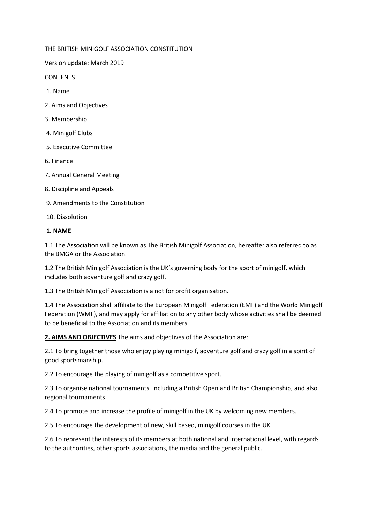THE BRITISH MINIGOLF ASSOCIATION CONSTITUTION

Version update: March 2019

**CONTENTS** 

- 1. Name
- 2. Aims and Objectives
- 3. Membership
- 4. Minigolf Clubs
- 5. Executive Committee
- 6. Finance
- 7. Annual General Meeting
- 8. Discipline and Appeals
- 9. Amendments to the Constitution
- 10. Dissolution

#### **1. NAME**

1.1 The Association will be known as The British Minigolf Association, hereafter also referred to as the BMGA or the Association.

1.2 The British Minigolf Association is the UK's governing body for the sport of minigolf, which includes both adventure golf and crazy golf.

1.3 The British Minigolf Association is a not for profit organisation.

1.4 The Association shall affiliate to the European Minigolf Federation (EMF) and the World Minigolf Federation (WMF), and may apply for affiliation to any other body whose activities shall be deemed to be beneficial to the Association and its members.

**2. AIMS AND OBJECTIVES** The aims and objectives of the Association are:

2.1 To bring together those who enjoy playing minigolf, adventure golf and crazy golf in a spirit of good sportsmanship.

2.2 To encourage the playing of minigolf as a competitive sport.

2.3 To organise national tournaments, including a British Open and British Championship, and also regional tournaments.

2.4 To promote and increase the profile of minigolf in the UK by welcoming new members.

2.5 To encourage the development of new, skill based, minigolf courses in the UK.

2.6 To represent the interests of its members at both national and international level, with regards to the authorities, other sports associations, the media and the general public.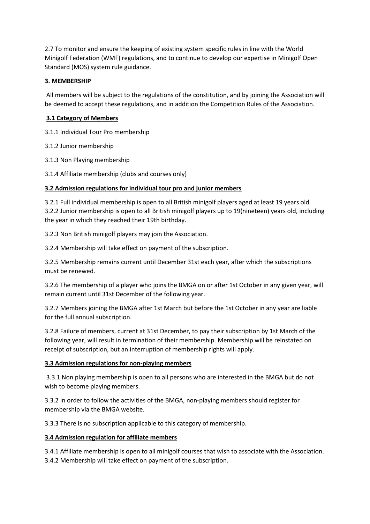2.7 To monitor and ensure the keeping of existing system specific rules in line with the World Minigolf Federation (WMF) regulations, and to continue to develop our expertise in Minigolf Open Standard (MOS) system rule guidance.

# **3. MEMBERSHIP**

All members will be subject to the regulations of the constitution, and by joining the Association will be deemed to accept these regulations, and in addition the Competition Rules of the Association.

# **3.1 Category of Members**

3.1.1 Individual Tour Pro membership

3.1.2 Junior membership

3.1.3 Non Playing membership

3.1.4 Affiliate membership (clubs and courses only)

# **3.2 Admission regulations for individual tour pro and junior members**

3.2.1 Full individual membership is open to all British minigolf players aged at least 19 years old. 3.2.2 Junior membership is open to all British minigolf players up to 19(nineteen) years old, including the year in which they reached their 19th birthday.

3.2.3 Non British minigolf players may join the Association.

3.2.4 Membership will take effect on payment of the subscription.

3.2.5 Membership remains current until December 31st each year, after which the subscriptions must be renewed.

3.2.6 The membership of a player who joins the BMGA on or after 1st October in any given year, will remain current until 31st December of the following year.

3.2.7 Members joining the BMGA after 1st March but before the 1st October in any year are liable for the full annual subscription.

3.2.8 Failure of members, current at 31st December, to pay their subscription by 1st March of the following year, will result in termination of their membership. Membership will be reinstated on receipt of subscription, but an interruption of membership rights will apply.

### **3.3 Admission regulations for non-playing members**

3.3.1 Non playing membership is open to all persons who are interested in the BMGA but do not wish to become playing members.

3.3.2 In order to follow the activities of the BMGA, non-playing members should register for membership via the BMGA website.

3.3.3 There is no subscription applicable to this category of membership.

### **3.4 Admission regulation for affiliate members**

3.4.1 Affiliate membership is open to all minigolf courses that wish to associate with the Association. 3.4.2 Membership will take effect on payment of the subscription.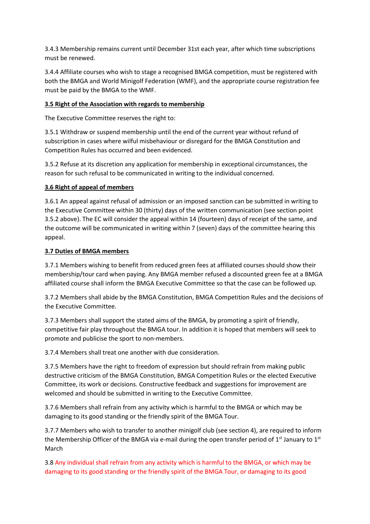3.4.3 Membership remains current until December 31st each year, after which time subscriptions must be renewed.

3.4.4 Affiliate courses who wish to stage a recognised BMGA competition, must be registered with both the BMGA and World Minigolf Federation (WMF), and the appropriate course registration fee must be paid by the BMGA to the WMF.

## **3.5 Right of the Association with regards to membership**

The Executive Committee reserves the right to:

3.5.1 Withdraw or suspend membership until the end of the current year without refund of subscription in cases where wilful misbehaviour or disregard for the BMGA Constitution and Competition Rules has occurred and been evidenced.

3.5.2 Refuse at its discretion any application for membership in exceptional circumstances, the reason for such refusal to be communicated in writing to the individual concerned.

# **3.6 Right of appeal of members**

3.6.1 An appeal against refusal of admission or an imposed sanction can be submitted in writing to the Executive Committee within 30 (thirty) days of the written communication (see section point 3.5.2 above). The EC will consider the appeal within 14 (fourteen) days of receipt of the same, and the outcome will be communicated in writing within 7 (seven) days of the committee hearing this appeal.

### **3.7 Duties of BMGA members**

3.7.1 Members wishing to benefit from reduced green fees at affiliated courses should show their membership/tour card when paying. Any BMGA member refused a discounted green fee at a BMGA affiliated course shall inform the BMGA Executive Committee so that the case can be followed up.

3.7.2 Members shall abide by the BMGA Constitution, BMGA Competition Rules and the decisions of the Executive Committee.

3.7.3 Members shall support the stated aims of the BMGA, by promoting a spirit of friendly, competitive fair play throughout the BMGA tour. In addition it is hoped that members will seek to promote and publicise the sport to non-members.

3.7.4 Members shall treat one another with due consideration.

3.7.5 Members have the right to freedom of expression but should refrain from making public destructive criticism of the BMGA Constitution, BMGA Competition Rules or the elected Executive Committee, its work or decisions. Constructive feedback and suggestions for improvement are welcomed and should be submitted in writing to the Executive Committee.

3.7.6 Members shall refrain from any activity which is harmful to the BMGA or which may be damaging to its good standing or the friendly spirit of the BMGA Tour.

3.7.7 Members who wish to transfer to another minigolf club (see section 4), are required to inform the Membership Officer of the BMGA via e-mail during the open transfer period of  $1<sup>st</sup>$  January to  $1<sup>st</sup>$ March

3.8 Any individual shall refrain from any activity which is harmful to the BMGA, or which may be damaging to its good standing or the friendly spirit of the BMGA Tour, or damaging to its good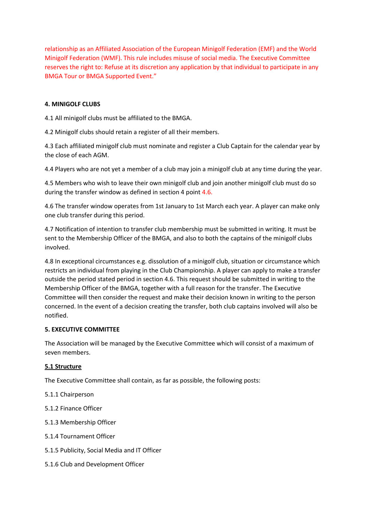relationship as an Affiliated Association of the European Minigolf Federation (EMF) and the World Minigolf Federation (WMF). This rule includes misuse of social media. The Executive Committee reserves the right to: Refuse at its discretion any application by that individual to participate in any BMGA Tour or BMGA Supported Event."

### **4. MINIGOLF CLUBS**

4.1 All minigolf clubs must be affiliated to the BMGA.

4.2 Minigolf clubs should retain a register of all their members.

4.3 Each affiliated minigolf club must nominate and register a Club Captain for the calendar year by the close of each AGM.

4.4 Players who are not yet a member of a club may join a minigolf club at any time during the year.

4.5 Members who wish to leave their own minigolf club and join another minigolf club must do so during the transfer window as defined in section 4 point 4.6.

4.6 The transfer window operates from 1st January to 1st March each year. A player can make only one club transfer during this period.

4.7 Notification of intention to transfer club membership must be submitted in writing. It must be sent to the Membership Officer of the BMGA, and also to both the captains of the minigolf clubs involved.

4.8 In exceptional circumstances e.g. dissolution of a minigolf club, situation or circumstance which restricts an individual from playing in the Club Championship. A player can apply to make a transfer outside the period stated period in section 4.6. This request should be submitted in writing to the Membership Officer of the BMGA, together with a full reason for the transfer. The Executive Committee will then consider the request and make their decision known in writing to the person concerned. In the event of a decision creating the transfer, both club captains involved will also be notified.

#### **5. EXECUTIVE COMMITTEE**

The Association will be managed by the Executive Committee which will consist of a maximum of seven members.

#### **5.1 Structure**

The Executive Committee shall contain, as far as possible, the following posts:

5.1.1 Chairperson

- 5.1.2 Finance Officer
- 5.1.3 Membership Officer
- 5.1.4 Tournament Officer
- 5.1.5 Publicity, Social Media and IT Officer
- 5.1.6 Club and Development Officer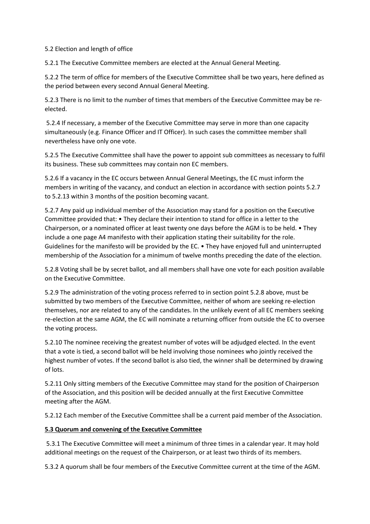#### 5.2 Election and length of office

5.2.1 The Executive Committee members are elected at the Annual General Meeting.

5.2.2 The term of office for members of the Executive Committee shall be two years, here defined as the period between every second Annual General Meeting.

5.2.3 There is no limit to the number of times that members of the Executive Committee may be reelected.

5.2.4 If necessary, a member of the Executive Committee may serve in more than one capacity simultaneously (e.g. Finance Officer and IT Officer). In such cases the committee member shall nevertheless have only one vote.

5.2.5 The Executive Committee shall have the power to appoint sub committees as necessary to fulfil its business. These sub committees may contain non EC members.

5.2.6 If a vacancy in the EC occurs between Annual General Meetings, the EC must inform the members in writing of the vacancy, and conduct an election in accordance with section points 5.2.7 to 5.2.13 within 3 months of the position becoming vacant.

5.2.7 Any paid up individual member of the Association may stand for a position on the Executive Committee provided that: • They declare their intention to stand for office in a letter to the Chairperson, or a nominated officer at least twenty one days before the AGM is to be held. • They include a one page A4 manifesto with their application stating their suitability for the role. Guidelines for the manifesto will be provided by the EC. • They have enjoyed full and uninterrupted membership of the Association for a minimum of twelve months preceding the date of the election.

5.2.8 Voting shall be by secret ballot, and all members shall have one vote for each position available on the Executive Committee.

5.2.9 The administration of the voting process referred to in section point 5.2.8 above, must be submitted by two members of the Executive Committee, neither of whom are seeking re-election themselves, nor are related to any of the candidates. In the unlikely event of all EC members seeking re-election at the same AGM, the EC will nominate a returning officer from outside the EC to oversee the voting process.

5.2.10 The nominee receiving the greatest number of votes will be adjudged elected. In the event that a vote is tied, a second ballot will be held involving those nominees who jointly received the highest number of votes. If the second ballot is also tied, the winner shall be determined by drawing of lots.

5.2.11 Only sitting members of the Executive Committee may stand for the position of Chairperson of the Association, and this position will be decided annually at the first Executive Committee meeting after the AGM.

5.2.12 Each member of the Executive Committee shall be a current paid member of the Association.

### **5.3 Quorum and convening of the Executive Committee**

5.3.1 The Executive Committee will meet a minimum of three times in a calendar year. It may hold additional meetings on the request of the Chairperson, or at least two thirds of its members.

5.3.2 A quorum shall be four members of the Executive Committee current at the time of the AGM.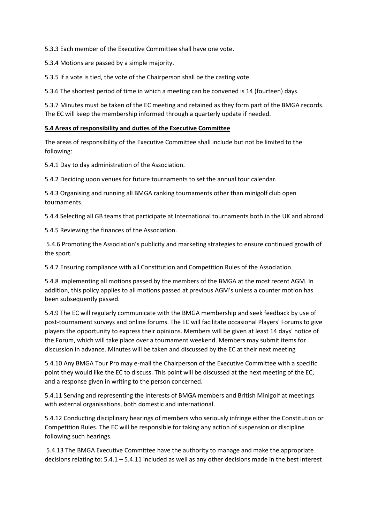5.3.3 Each member of the Executive Committee shall have one vote.

5.3.4 Motions are passed by a simple majority.

5.3.5 If a vote is tied, the vote of the Chairperson shall be the casting vote.

5.3.6 The shortest period of time in which a meeting can be convened is 14 (fourteen) days.

5.3.7 Minutes must be taken of the EC meeting and retained as they form part of the BMGA records. The EC will keep the membership informed through a quarterly update if needed.

#### **5.4 Areas of responsibility and duties of the Executive Committee**

The areas of responsibility of the Executive Committee shall include but not be limited to the following:

5.4.1 Day to day administration of the Association.

5.4.2 Deciding upon venues for future tournaments to set the annual tour calendar.

5.4.3 Organising and running all BMGA ranking tournaments other than minigolf club open tournaments.

5.4.4 Selecting all GB teams that participate at International tournaments both in the UK and abroad.

5.4.5 Reviewing the finances of the Association.

5.4.6 Promoting the Association's publicity and marketing strategies to ensure continued growth of the sport.

5.4.7 Ensuring compliance with all Constitution and Competition Rules of the Association.

5.4.8 Implementing all motions passed by the members of the BMGA at the most recent AGM. In addition, this policy applies to all motions passed at previous AGM's unless a counter motion has been subsequently passed.

5.4.9 The EC will regularly communicate with the BMGA membership and seek feedback by use of post-tournament surveys and online forums. The EC will facilitate occasional Players' Forums to give players the opportunity to express their opinions. Members will be given at least 14 days' notice of the Forum, which will take place over a tournament weekend. Members may submit items for discussion in advance. Minutes will be taken and discussed by the EC at their next meeting

5.4.10 Any BMGA Tour Pro may e-mail the Chairperson of the Executive Committee with a specific point they would like the EC to discuss. This point will be discussed at the next meeting of the EC, and a response given in writing to the person concerned.

5.4.11 Serving and representing the interests of BMGA members and British Minigolf at meetings with external organisations, both domestic and international.

5.4.12 Conducting disciplinary hearings of members who seriously infringe either the Constitution or Competition Rules. The EC will be responsible for taking any action of suspension or discipline following such hearings.

5.4.13 The BMGA Executive Committee have the authority to manage and make the appropriate decisions relating to: 5.4.1 – 5.4.11 included as well as any other decisions made in the best interest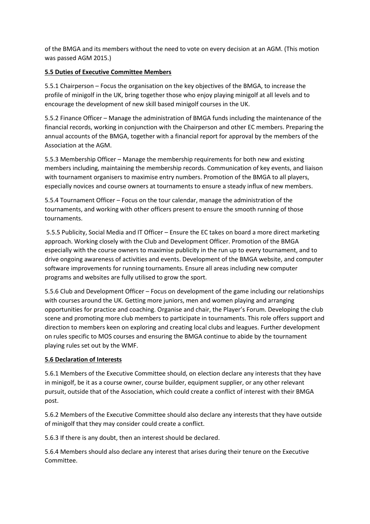of the BMGA and its members without the need to vote on every decision at an AGM. (This motion was passed AGM 2015.)

### **5.5 Duties of Executive Committee Members**

5.5.1 Chairperson – Focus the organisation on the key objectives of the BMGA, to increase the profile of minigolf in the UK, bring together those who enjoy playing minigolf at all levels and to encourage the development of new skill based minigolf courses in the UK.

5.5.2 Finance Officer – Manage the administration of BMGA funds including the maintenance of the financial records, working in conjunction with the Chairperson and other EC members. Preparing the annual accounts of the BMGA, together with a financial report for approval by the members of the Association at the AGM.

5.5.3 Membership Officer – Manage the membership requirements for both new and existing members including, maintaining the membership records. Communication of key events, and liaison with tournament organisers to maximise entry numbers. Promotion of the BMGA to all players, especially novices and course owners at tournaments to ensure a steady influx of new members.

5.5.4 Tournament Officer – Focus on the tour calendar, manage the administration of the tournaments, and working with other officers present to ensure the smooth running of those tournaments.

5.5.5 Publicity, Social Media and IT Officer – Ensure the EC takes on board a more direct marketing approach. Working closely with the Club and Development Officer. Promotion of the BMGA especially with the course owners to maximise publicity in the run up to every tournament, and to drive ongoing awareness of activities and events. Development of the BMGA website, and computer software improvements for running tournaments. Ensure all areas including new computer programs and websites are fully utilised to grow the sport.

5.5.6 Club and Development Officer – Focus on development of the game including our relationships with courses around the UK. Getting more juniors, men and women playing and arranging opportunities for practice and coaching. Organise and chair, the Player's Forum. Developing the club scene and promoting more club members to participate in tournaments. This role offers support and direction to members keen on exploring and creating local clubs and leagues. Further development on rules specific to MOS courses and ensuring the BMGA continue to abide by the tournament playing rules set out by the WMF.

### **5.6 Declaration of Interests**

5.6.1 Members of the Executive Committee should, on election declare any interests that they have in minigolf, be it as a course owner, course builder, equipment supplier, or any other relevant pursuit, outside that of the Association, which could create a conflict of interest with their BMGA post.

5.6.2 Members of the Executive Committee should also declare any interests that they have outside of minigolf that they may consider could create a conflict.

5.6.3 If there is any doubt, then an interest should be declared.

5.6.4 Members should also declare any interest that arises during their tenure on the Executive Committee.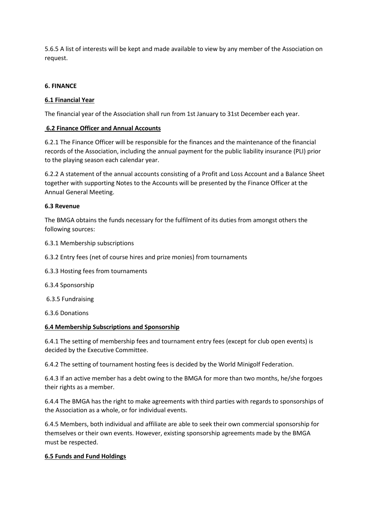5.6.5 A list of interests will be kept and made available to view by any member of the Association on request.

#### **6. FINANCE**

#### **6.1 Financial Year**

The financial year of the Association shall run from 1st January to 31st December each year.

#### **6.2 Finance Officer and Annual Accounts**

6.2.1 The Finance Officer will be responsible for the finances and the maintenance of the financial records of the Association, including the annual payment for the public liability insurance (PLI) prior to the playing season each calendar year.

6.2.2 A statement of the annual accounts consisting of a Profit and Loss Account and a Balance Sheet together with supporting Notes to the Accounts will be presented by the Finance Officer at the Annual General Meeting.

#### **6.3 Revenue**

The BMGA obtains the funds necessary for the fulfilment of its duties from amongst others the following sources:

6.3.1 Membership subscriptions

- 6.3.2 Entry fees (net of course hires and prize monies) from tournaments
- 6.3.3 Hosting fees from tournaments
- 6.3.4 Sponsorship
- 6.3.5 Fundraising

6.3.6 Donations

#### **6.4 Membership Subscriptions and Sponsorship**

6.4.1 The setting of membership fees and tournament entry fees (except for club open events) is decided by the Executive Committee.

6.4.2 The setting of tournament hosting fees is decided by the World Minigolf Federation.

6.4.3 If an active member has a debt owing to the BMGA for more than two months, he/she forgoes their rights as a member.

6.4.4 The BMGA has the right to make agreements with third parties with regards to sponsorships of the Association as a whole, or for individual events.

6.4.5 Members, both individual and affiliate are able to seek their own commercial sponsorship for themselves or their own events. However, existing sponsorship agreements made by the BMGA must be respected.

### **6.5 Funds and Fund Holdings**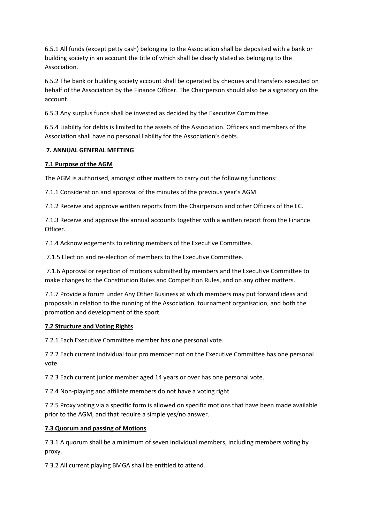6.5.1 All funds (except petty cash) belonging to the Association shall be deposited with a bank or building society in an account the title of which shall be clearly stated as belonging to the Association.

6.5.2 The bank or building society account shall be operated by cheques and transfers executed on behalf of the Association by the Finance Officer. The Chairperson should also be a signatory on the account.

6.5.3 Any surplus funds shall be invested as decided by the Executive Committee.

6.5.4 Liability for debts is limited to the assets of the Association. Officers and members of the Association shall have no personal liability for the Association's debts.

### **7. ANNUAL GENERAL MEETING**

#### **7.1 Purpose of the AGM**

The AGM is authorised, amongst other matters to carry out the following functions:

7.1.1 Consideration and approval of the minutes of the previous year's AGM.

7.1.2 Receive and approve written reports from the Chairperson and other Officers of the EC.

7.1.3 Receive and approve the annual accounts together with a written report from the Finance Officer.

7.1.4 Acknowledgements to retiring members of the Executive Committee.

7.1.5 Election and re-election of members to the Executive Committee.

7.1.6 Approval or rejection of motions submitted by members and the Executive Committee to make changes to the Constitution Rules and Competition Rules, and on any other matters.

7.1.7 Provide a forum under Any Other Business at which members may put forward ideas and proposals in relation to the running of the Association, tournament organisation, and both the promotion and development of the sport.

### **7.2 Structure and Voting Rights**

7.2.1 Each Executive Committee member has one personal vote.

7.2.2 Each current individual tour pro member not on the Executive Committee has one personal vote.

7.2.3 Each current junior member aged 14 years or over has one personal vote.

7.2.4 Non-playing and affiliate members do not have a voting right.

7.2.5 Proxy voting via a specific form is allowed on specific motions that have been made available prior to the AGM, and that require a simple yes/no answer.

### **7.3 Quorum and passing of Motions**

7.3.1 A quorum shall be a minimum of seven individual members, including members voting by proxy.

7.3.2 All current playing BMGA shall be entitled to attend.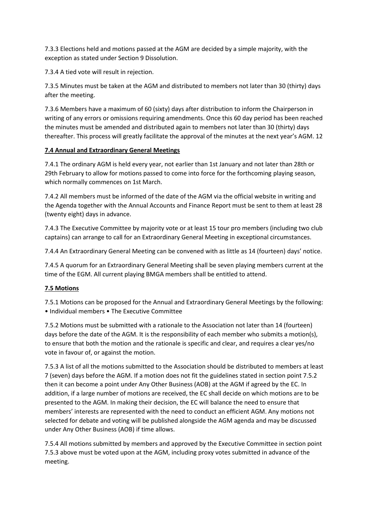7.3.3 Elections held and motions passed at the AGM are decided by a simple majority, with the exception as stated under Section 9 Dissolution.

7.3.4 A tied vote will result in rejection.

7.3.5 Minutes must be taken at the AGM and distributed to members not later than 30 (thirty) days after the meeting.

7.3.6 Members have a maximum of 60 (sixty) days after distribution to inform the Chairperson in writing of any errors or omissions requiring amendments. Once this 60 day period has been reached the minutes must be amended and distributed again to members not later than 30 (thirty) days thereafter. This process will greatly facilitate the approval of the minutes at the next year's AGM. 12

# **7.4 Annual and Extraordinary General Meetings**

7.4.1 The ordinary AGM is held every year, not earlier than 1st January and not later than 28th or 29th February to allow for motions passed to come into force for the forthcoming playing season, which normally commences on 1st March.

7.4.2 All members must be informed of the date of the AGM via the official website in writing and the Agenda together with the Annual Accounts and Finance Report must be sent to them at least 28 (twenty eight) days in advance.

7.4.3 The Executive Committee by majority vote or at least 15 tour pro members (including two club captains) can arrange to call for an Extraordinary General Meeting in exceptional circumstances.

7.4.4 An Extraordinary General Meeting can be convened with as little as 14 (fourteen) days' notice.

7.4.5 A quorum for an Extraordinary General Meeting shall be seven playing members current at the time of the EGM. All current playing BMGA members shall be entitled to attend.

# **7.5 Motions**

7.5.1 Motions can be proposed for the Annual and Extraordinary General Meetings by the following: • Individual members • The Executive Committee

7.5.2 Motions must be submitted with a rationale to the Association not later than 14 (fourteen) days before the date of the AGM. It is the responsibility of each member who submits a motion(s), to ensure that both the motion and the rationale is specific and clear, and requires a clear yes/no vote in favour of, or against the motion.

7.5.3 A list of all the motions submitted to the Association should be distributed to members at least 7 (seven) days before the AGM. If a motion does not fit the guidelines stated in section point 7.5.2 then it can become a point under Any Other Business (AOB) at the AGM if agreed by the EC. In addition, if a large number of motions are received, the EC shall decide on which motions are to be presented to the AGM. In making their decision, the EC will balance the need to ensure that members' interests are represented with the need to conduct an efficient AGM. Any motions not selected for debate and voting will be published alongside the AGM agenda and may be discussed under Any Other Business (AOB) if time allows.

7.5.4 All motions submitted by members and approved by the Executive Committee in section point 7.5.3 above must be voted upon at the AGM, including proxy votes submitted in advance of the meeting.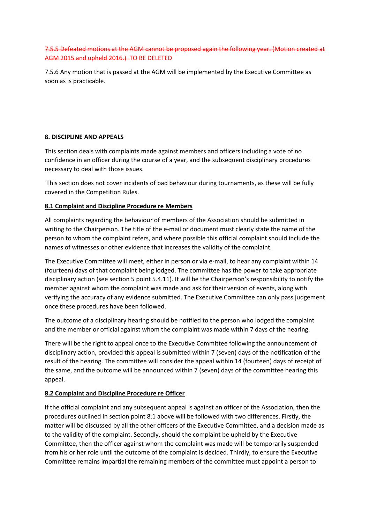### 7.5.5 Defeated motions at the AGM cannot be proposed again the following year. (Motion created at AGM 2015 and upheld 2016.) TO BE DELETED

7.5.6 Any motion that is passed at the AGM will be implemented by the Executive Committee as soon as is practicable.

### **8. DISCIPLINE AND APPEALS**

This section deals with complaints made against members and officers including a vote of no confidence in an officer during the course of a year, and the subsequent disciplinary procedures necessary to deal with those issues.

This section does not cover incidents of bad behaviour during tournaments, as these will be fully covered in the Competition Rules.

#### **8.1 Complaint and Discipline Procedure re Members**

All complaints regarding the behaviour of members of the Association should be submitted in writing to the Chairperson. The title of the e-mail or document must clearly state the name of the person to whom the complaint refers, and where possible this official complaint should include the names of witnesses or other evidence that increases the validity of the complaint.

The Executive Committee will meet, either in person or via e-mail, to hear any complaint within 14 (fourteen) days of that complaint being lodged. The committee has the power to take appropriate disciplinary action (see section 5 point 5.4.11). It will be the Chairperson's responsibility to notify the member against whom the complaint was made and ask for their version of events, along with verifying the accuracy of any evidence submitted. The Executive Committee can only pass judgement once these procedures have been followed.

The outcome of a disciplinary hearing should be notified to the person who lodged the complaint and the member or official against whom the complaint was made within 7 days of the hearing.

There will be the right to appeal once to the Executive Committee following the announcement of disciplinary action, provided this appeal is submitted within 7 (seven) days of the notification of the result of the hearing. The committee will consider the appeal within 14 (fourteen) days of receipt of the same, and the outcome will be announced within 7 (seven) days of the committee hearing this appeal.

#### **8.2 Complaint and Discipline Procedure re Officer**

If the official complaint and any subsequent appeal is against an officer of the Association, then the procedures outlined in section point 8.1 above will be followed with two differences. Firstly, the matter will be discussed by all the other officers of the Executive Committee, and a decision made as to the validity of the complaint. Secondly, should the complaint be upheld by the Executive Committee, then the officer against whom the complaint was made will be temporarily suspended from his or her role until the outcome of the complaint is decided. Thirdly, to ensure the Executive Committee remains impartial the remaining members of the committee must appoint a person to